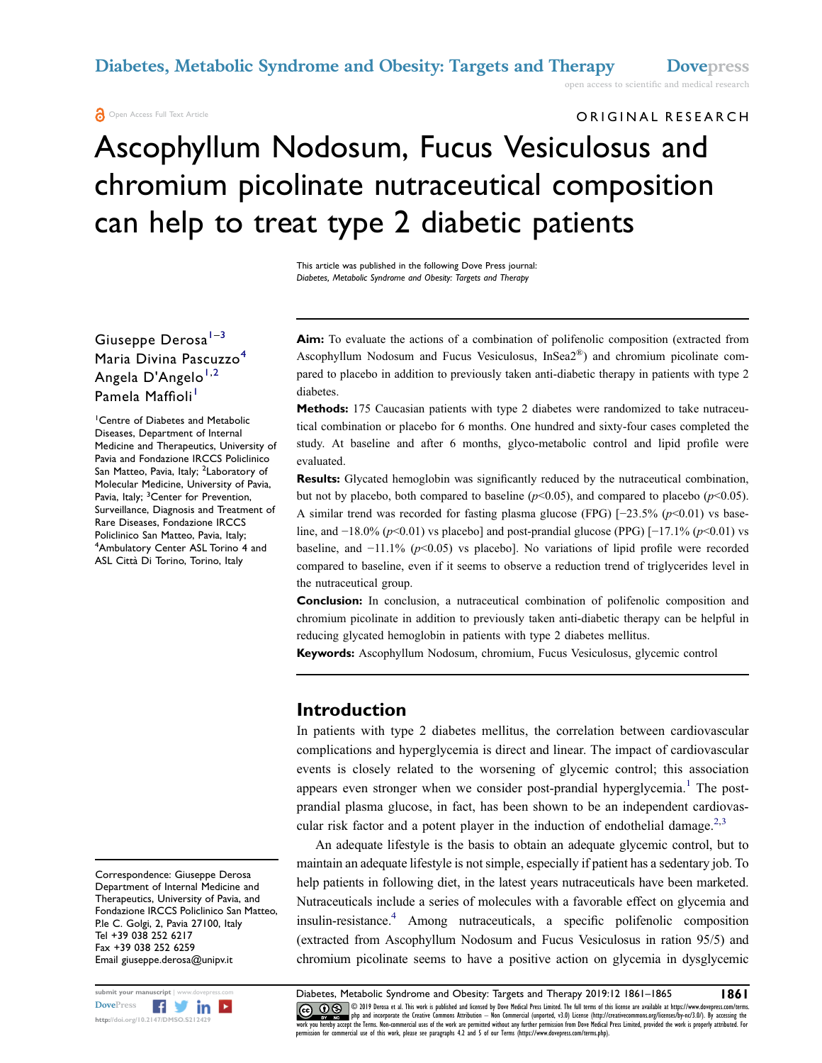diabetes.

#### Open Access Full Text Article

ORIGINAL RESEARCH

open access to scientific and medical research

# Ascophyllum Nodosum, Fucus Vesiculosus and chromium picolinate nutraceutical composition can help to treat type 2 diabetic patients

This article was published in the following Dove Press journal: Diabetes, Metabolic Syndrome and Obesity: Targets and Therapy

#### Giuseppe Derosa<sup>[1](#page-0-0)-[3](#page-0-1)</sup> Maria Divina Pascuzzo<sup>[4](#page-0-2)</sup> Angela D'Angelo<sup>[1,](#page-0-0)[2](#page-0-3)</sup> Pamela Maffioli<sup>[1](#page-0-0)</sup>

<span id="page-0-3"></span><span id="page-0-2"></span><span id="page-0-1"></span><span id="page-0-0"></span>1 Centre of Diabetes and Metabolic Diseases, Department of Internal Medicine and Therapeutics, University of Pavia and Fondazione IRCCS Policlinico San Matteo, Pavia, Italy; <sup>2</sup>Laboratory of Molecular Medicine, University of Pavia, Pavia, Italy; <sup>3</sup>Center for Prevention, Surveillance, Diagnosis and Treatment of Rare Diseases, Fondazione IRCCS Policlinico San Matteo, Pavia, Italy; 4 Ambulatory Center ASL Torino 4 and ASL Città Di Torino, Torino, Italy

Correspondence: Giuseppe Derosa Department of Internal Medicine and Therapeutics, University of Pavia, and Fondazione IRCCS Policlinico San Matteo, P.le C. Golgi, 2, Pavia 27100, Italy Tel +39 038 252 6217 Fax +39 038 252 6259 Email giuseppe.derosa@unipv.it



Aim: To evaluate the actions of a combination of polifenolic composition (extracted from Ascophyllum Nodosum and Fucus Vesiculosus, InSea2®) and chromium picolinate com-

Methods: 175 Caucasian patients with type 2 diabetes were randomized to take nutraceutical combination or placebo for 6 months. One hundred and sixty-four cases completed the study. At baseline and after 6 months, glyco-metabolic control and lipid profile were evaluated.

pared to placebo in addition to previously taken anti-diabetic therapy in patients with type 2

Results: Glycated hemoglobin was significantly reduced by the nutraceutical combination, but not by placebo, both compared to baseline ( $p<0.05$ ), and compared to placebo ( $p<0.05$ ). A similar trend was recorded for fasting plasma glucose (FPG) [−23.5% (p<0.01) vs baseline, and  $-18.0\%$  (p<0.01) vs placebo] and post-prandial glucose (PPG) [ $-17.1\%$  (p<0.01) vs baseline, and  $-11.1\%$  (p<0.05) vs placebo]. No variations of lipid profile were recorded compared to baseline, even if it seems to observe a reduction trend of triglycerides level in the nutraceutical group.

Conclusion: In conclusion, a nutraceutical combination of polifenolic composition and chromium picolinate in addition to previously taken anti-diabetic therapy can be helpful in reducing glycated hemoglobin in patients with type 2 diabetes mellitus.

Keywords: Ascophyllum Nodosum, chromium, Fucus Vesiculosus, glycemic control

#### Introduction

<span id="page-0-4"></span>In patients with type 2 diabetes mellitus, the correlation between cardiovascular complications and hyperglycemia is direct and linear. The impact of cardiovascular events is closely related to the worsening of glycemic control; this association appears even stronger when we consider post-prandial hyperglycemia.<sup>[1](#page-4-0)</sup> The postprandial plasma glucose, in fact, has been shown to be an independent cardiovas-cular risk factor and a potent player in the induction of endothelial damage.<sup>[2,](#page-4-1)[3](#page-4-2)</sup>

<span id="page-0-7"></span><span id="page-0-6"></span><span id="page-0-5"></span>An adequate lifestyle is the basis to obtain an adequate glycemic control, but to maintain an adequate lifestyle is not simple, especially if patient has a sedentary job. To help patients in following diet, in the latest years nutraceuticals have been marketed. Nutraceuticals include a series of molecules with a favorable effect on glycemia and insulin-resistance.[4](#page-4-3) Among nutraceuticals, a specific polifenolic composition (extracted from Ascophyllum Nodosum and Fucus Vesiculosus in ration 95/5) and chromium picolinate seems to have a positive action on glycemia in dysglycemic

submit your manuscript | www.dovepress.com **Diabetes, Metabolic Syndrome and Obesity: Targets and Therapy 2019:12 1861–1865 1861**<br>DovePress **Figure 2019** 2019 Derosa et al. This work is published and licensed by Dove Medic DOVER DO 2019 Derosa et al. This work is published and licensed by Dove Medical Press Limited. The full terms of this license are available at https://www.dovepress.com/terms.<br>http://doi.org/10.2147/DMSO.5212429 http://do permission for commercial use of this work, please see paragraphs 4.2 and 5 of our Terms (https://www.dovepress.com/terms.php).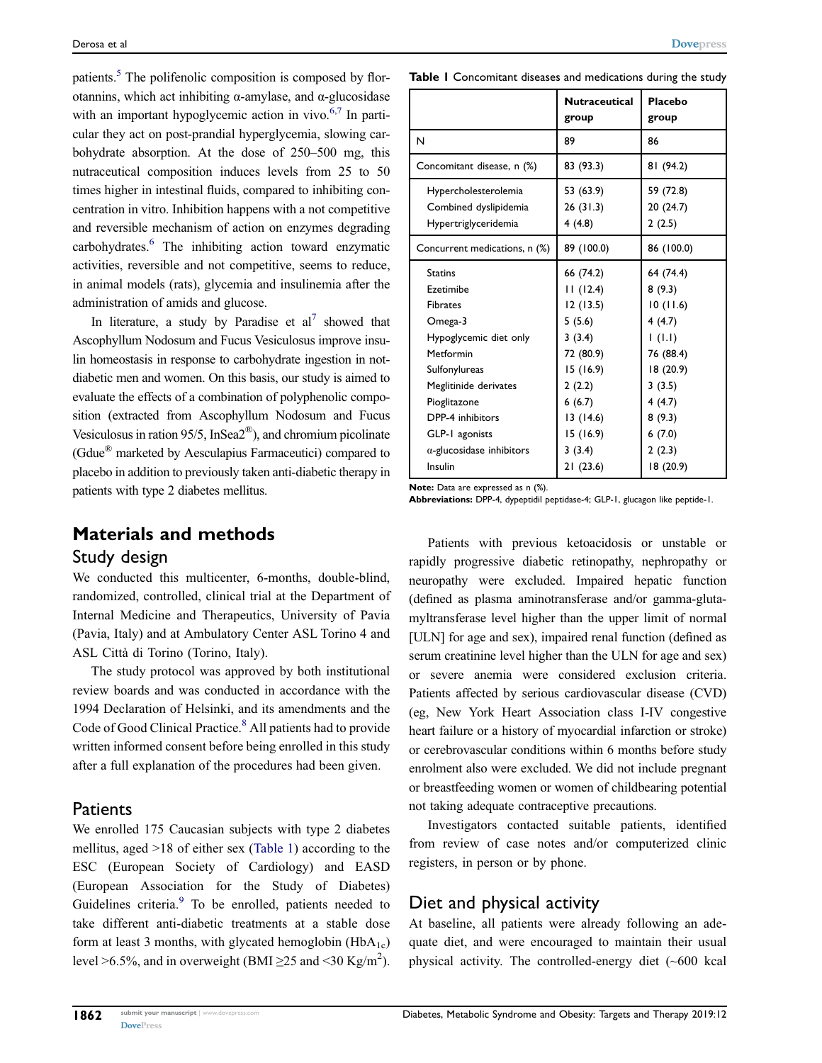patients.<sup>[5](#page-4-4)</sup> The polifenolic composition is composed by florotannins, which act inhibiting α-amylase, and α-glucosidase with an important hypoglycemic action in vivo. $6,7$  $6,7$  In particular they act on post-prandial hyperglycemia, slowing carbohydrate absorption. At the dose of 250–500 mg, this nutraceutical composition induces levels from 25 to 50 times higher in intestinal fluids, compared to inhibiting concentration in vitro. Inhibition happens with a not competitive and reversible mechanism of action on enzymes degrading carbohydrates[.6](#page-4-5) The inhibiting action toward enzymatic activities, reversible and not competitive, seems to reduce, in animal models (rats), glycemia and insulinemia after the administration of amids and glucose.

<span id="page-1-2"></span><span id="page-1-1"></span>In literature, a study by Paradise et  $al^7$  showed that Ascophyllum Nodosum and Fucus Vesiculosus improve insulin homeostasis in response to carbohydrate ingestion in notdiabetic men and women. On this basis, our study is aimed to evaluate the effects of a combination of polyphenolic composition (extracted from Ascophyllum Nodosum and Fucus Vesiculosus in ration 95/5, InSea $2^{\circledR}$ ), and chromium picolinate (Gdue® marketed by Aesculapius Farmaceutici) compared to placebo in addition to previously taken anti-diabetic therapy in patients with type 2 diabetes mellitus.

# Materials and methods

#### Study design

We conducted this multicenter, 6-months, double-blind, randomized, controlled, clinical trial at the Department of Internal Medicine and Therapeutics, University of Pavia (Pavia, Italy) and at Ambulatory Center ASL Torino 4 and ASL Città di Torino (Torino, Italy).

<span id="page-1-3"></span>The study protocol was approved by both institutional review boards and was conducted in accordance with the 1994 Declaration of Helsinki, and its amendments and the Code of Good Clinical Practice.<sup>[8](#page-4-7)</sup> All patients had to provide written informed consent before being enrolled in this study after a full explanation of the procedures had been given.

#### **Patients**

<span id="page-1-4"></span>We enrolled 175 Caucasian subjects with type 2 diabetes mellitus, aged >18 of either sex ([Table 1\)](#page-1-0) according to the ESC (European Society of Cardiology) and EASD (European Association for the Study of Diabetes) Guidelines criteria.<sup>[9](#page-4-8)</sup> To be enrolled, patients needed to take different anti-diabetic treatments at a stable dose form at least 3 months, with glycated hemoglobin  $(HbA_{1c})$ level >6.5%, and in overweight (BMI  $\geq$ 25 and <30 Kg/m<sup>2</sup>).

<span id="page-1-0"></span>Table I Concomitant diseases and medications during the study

|                                                                                                                                                                                                                                      | <b>Nutraceutical</b><br>group                                                                                                          | Placebo<br>group                                                                                                               |
|--------------------------------------------------------------------------------------------------------------------------------------------------------------------------------------------------------------------------------------|----------------------------------------------------------------------------------------------------------------------------------------|--------------------------------------------------------------------------------------------------------------------------------|
| N                                                                                                                                                                                                                                    | 89                                                                                                                                     | 86                                                                                                                             |
| Concomitant disease, n (%)                                                                                                                                                                                                           | 83 (93.3)                                                                                                                              | 81 (94.2)                                                                                                                      |
| Hypercholesterolemia<br>Combined dyslipidemia<br>Hypertriglyceridemia                                                                                                                                                                | 53 (63.9)<br>26(31.3)<br>4(4.8)                                                                                                        | 59 (72.8)<br>20 (24.7)<br>2(2.5)                                                                                               |
| Concurrent medications, n (%)                                                                                                                                                                                                        | 89 (100.0)                                                                                                                             | 86 (100.0)                                                                                                                     |
| <b>Statins</b><br>Fzetimibe<br><b>Fibrates</b><br>Omega-3<br>Hypoglycemic diet only<br>Metformin<br>Sulfonylureas<br>Meglitinide derivates<br>Pioglitazone<br>DPP-4 inhibitors<br>GLP-1 agonists<br>$\alpha$ -glucosidase inhibitors | 66 (74.2)<br>11(12.4)<br>12(13.5)<br>5(5.6)<br>3(3.4)<br>72 (80.9)<br>15 (16.9)<br>2(2.2)<br>6(6.7)<br>13(14.6)<br>15 (16.9)<br>3(3.4) | 64 (74.4)<br>8(9.3)<br>10(11.6)<br>4(4.7)<br>(1.1)<br>76 (88.4)<br>18 (20.9)<br>3(3.5)<br>4(4.7)<br>8(9.3)<br>6(7.0)<br>2(2.3) |
| Insulin                                                                                                                                                                                                                              | 21(23.6)                                                                                                                               | 18 (20.9)                                                                                                                      |

Note: Data are expressed as n (%).

Abbreviations: DPP-4, dypeptidil peptidase-4; GLP-1, glucagon like peptide-1.

Patients with previous ketoacidosis or unstable or rapidly progressive diabetic retinopathy, nephropathy or neuropathy were excluded. Impaired hepatic function (defined as plasma aminotransferase and/or gamma-glutamyltransferase level higher than the upper limit of normal [ULN] for age and sex), impaired renal function (defined as serum creatinine level higher than the ULN for age and sex) or severe anemia were considered exclusion criteria. Patients affected by serious cardiovascular disease (CVD) (eg, New York Heart Association class I-IV congestive heart failure or a history of myocardial infarction or stroke) or cerebrovascular conditions within 6 months before study enrolment also were excluded. We did not include pregnant or breastfeeding women or women of childbearing potential not taking adequate contraceptive precautions.

Investigators contacted suitable patients, identified from review of case notes and/or computerized clinic registers, in person or by phone.

### Diet and physical activity

At baseline, all patients were already following an adequate diet, and were encouraged to maintain their usual physical activity. The controlled-energy diet (~600 kcal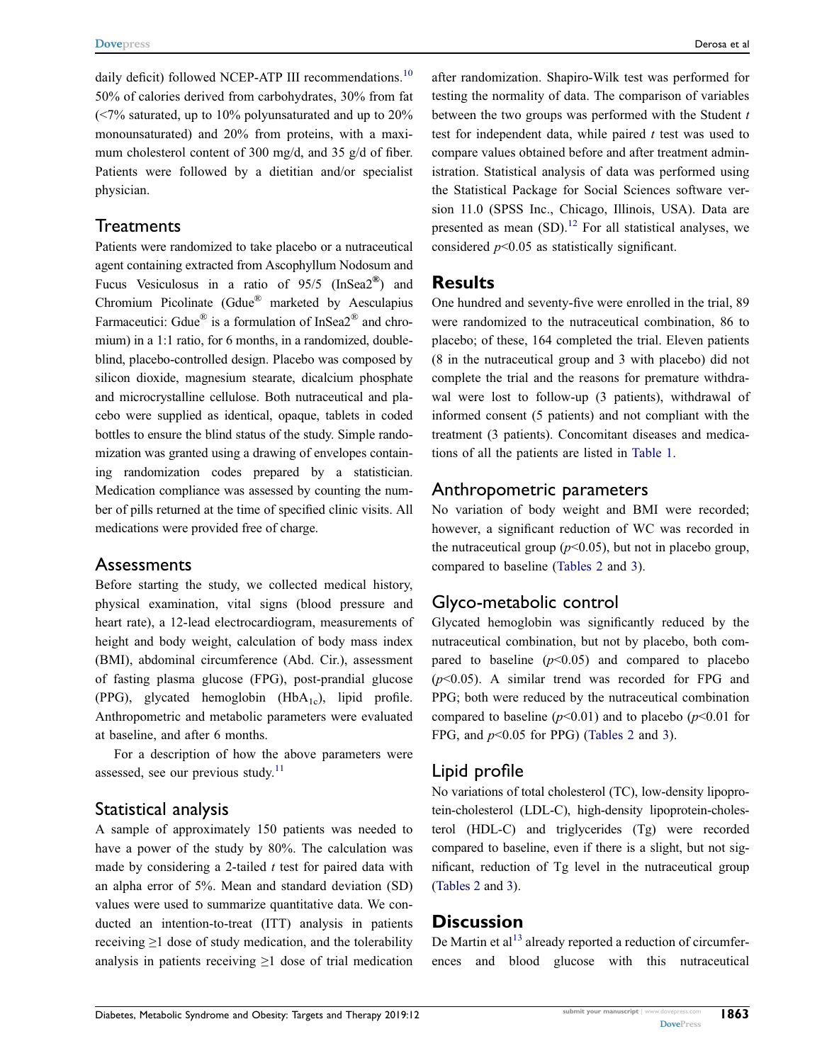<span id="page-2-0"></span>daily deficit) followed NCEP-ATP III recommendations.<sup>[10](#page-4-9)</sup> 50% of calories derived from carbohydrates, 30% from fat (<7% saturated, up to 10% polyunsaturated and up to 20% monounsaturated) and 20% from proteins, with a maximum cholesterol content of 300 mg/d, and 35 g/d of fiber. Patients were followed by a dietitian and/or specialist physician.

#### **Treatments**

Patients were randomized to take placebo or a nutraceutical agent containing extracted from Ascophyllum Nodosum and Fucus Vesiculosus in a ratio of  $95/5$  (InSea2<sup>®</sup>) and Chromium Picolinate (Gdue® marketed by Aesculapius Farmaceutici: Gdue<sup>®</sup> is a formulation of InSea2<sup>®</sup> and chromium) in a 1:1 ratio, for 6 months, in a randomized, doubleblind, placebo-controlled design. Placebo was composed by silicon dioxide, magnesium stearate, dicalcium phosphate and microcrystalline cellulose. Both nutraceutical and placebo were supplied as identical, opaque, tablets in coded bottles to ensure the blind status of the study. Simple randomization was granted using a drawing of envelopes containing randomization codes prepared by a statistician. Medication compliance was assessed by counting the number of pills returned at the time of specified clinic visits. All medications were provided free of charge.

#### **Assessments**

Before starting the study, we collected medical history, physical examination, vital signs (blood pressure and heart rate), a 12-lead electrocardiogram, measurements of height and body weight, calculation of body mass index (BMI), abdominal circumference (Abd. Cir.), assessment of fasting plasma glucose (FPG), post-prandial glucose (PPG), glycated hemoglobin (Hb $A_{1c}$ ), lipid profile. Anthropometric and metabolic parameters were evaluated at baseline, and after 6 months.

<span id="page-2-1"></span>For a description of how the above parameters were assessed, see our previous study. $11$ 

### Statistical analysis

A sample of approximately 150 patients was needed to have a power of the study by 80%. The calculation was made by considering a 2-tailed  $t$  test for paired data with an alpha error of 5%. Mean and standard deviation (SD) values were used to summarize quantitative data. We conducted an intention-to-treat (ITT) analysis in patients receiving ≥1 dose of study medication, and the tolerability analysis in patients receiving  $\geq 1$  dose of trial medication

after randomization. Shapiro-Wilk test was performed for testing the normality of data. The comparison of variables between the two groups was performed with the Student  $t$ test for independent data, while paired  $t$  test was used to compare values obtained before and after treatment administration. Statistical analysis of data was performed using the Statistical Package for Social Sciences software version 11.0 (SPSS Inc., Chicago, Illinois, USA). Data are presented as mean  $(SD)$ .<sup>[12](#page-4-11)</sup> For all statistical analyses, we considered  $p<0.05$  as statistically significant.

### <span id="page-2-2"></span>Results

One hundred and seventy-five were enrolled in the trial, 89 were randomized to the nutraceutical combination, 86 to placebo; of these, 164 completed the trial. Eleven patients (8 in the nutraceutical group and 3 with placebo) did not complete the trial and the reasons for premature withdrawal were lost to follow-up (3 patients), withdrawal of informed consent (5 patients) and not compliant with the treatment (3 patients). Concomitant diseases and medications of all the patients are listed in [Table 1](#page-1-0).

#### Anthropometric parameters

No variation of body weight and BMI were recorded; however, a significant reduction of WC was recorded in the nutraceutical group  $(p<0.05)$ , but not in placebo group, compared to baseline ([Tables 2](#page-3-0) and [3](#page-3-1)).

# Glyco-metabolic control

Glycated hemoglobin was significantly reduced by the nutraceutical combination, but not by placebo, both compared to baseline  $(p<0.05)$  and compared to placebo  $(p<0.05)$ . A similar trend was recorded for FPG and PPG; both were reduced by the nutraceutical combination compared to baseline ( $p$ <0.01) and to placebo ( $p$ <0.01 for FPG, and  $p<0.05$  for PPG) [\(Tables 2](#page-3-0) and [3\)](#page-3-1).

# Lipid profile

No variations of total cholesterol (TC), low-density lipoprotein-cholesterol (LDL-C), high-density lipoprotein-cholesterol (HDL-C) and triglycerides (Tg) were recorded compared to baseline, even if there is a slight, but not significant, reduction of Tg level in the nutraceutical group [\(Tables 2](#page-3-0) and [3](#page-3-1)).

# **Discussion**

<span id="page-2-3"></span>De Martin et al<sup>[13](#page-4-12)</sup> already reported a reduction of circumferences and blood glucose with this nutraceutical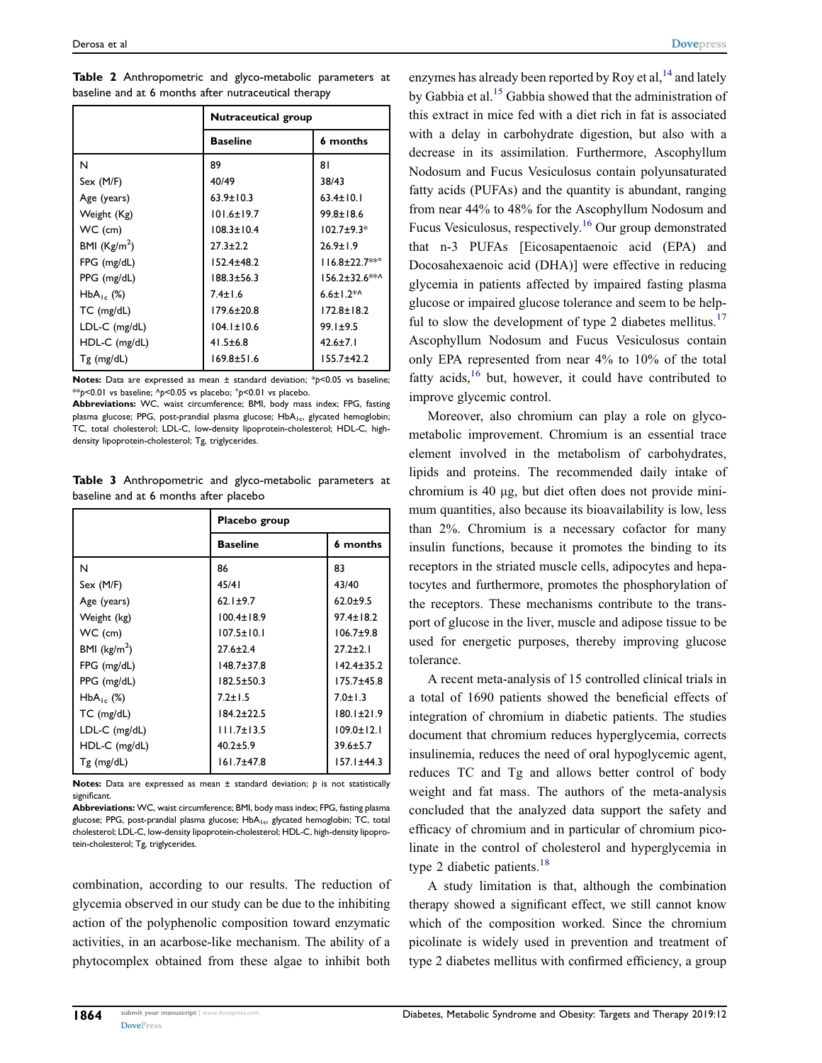|                  | Nutraceutical group |                      |
|------------------|---------------------|----------------------|
|                  | <b>Baseline</b>     | 6 months             |
| N                | 89                  | 81                   |
| Sex (M/F)        | 40/49               | 38/43                |
| Age (years)      | $63.9 \pm 10.3$     | $63.4 \pm 10.1$      |
| Weight (Kg)      | $101.6 \pm 19.7$    | $99.8 \pm 18.6$      |
| WC (cm)          | $108.3 \pm 10.4$    | $102.7 + 9.3*$       |
| BMI $(Kg/m2)$    | $27.3 \pm 2.2$      | $26.9 \pm 1.9$       |
| FPG (mg/dL)      | $152.4 + 48.2$      | $116.8 \pm 22.7$ **° |
| PPG (mg/dL)      | 188.3+56.3          | 156.2±32.6**^        |
| $HbA_1$ , $(\%)$ | $7.4 \pm 1.6$       | $6.6 \pm 1.2$ *^     |
| $TC$ (mg/dL)     | $179.6 + 20.8$      | $172.8 + 18.2$       |
| LDL-C (mg/dL)    | $104.1 \pm 10.6$    | $99.1 \pm 9.5$       |
| HDL-C (mg/dL)    | $41.5 \pm 6.8$      | $42.6 \pm 7.1$       |
| Tg (mg/dL)       | $169.8 \pm 51.6$    | $155.7 \pm 42.2$     |

<span id="page-3-0"></span>Table 2 Anthropometric and glyco-metabolic parameters at baseline and at 6 months after nutraceutical therapy

Notes: Data are expressed as mean  $\pm$  standard deviation; \*p<0.05 vs baseline; \*\*p<0.01 vs baseline;  $\gamma$ <0.05 vs placebo;  $\gamma$ <0.01 vs placebo.

Abbreviations: WC, waist circumference; BMI, body mass index; FPG, fasting plasma glucose; PPG, post-prandial plasma glucose; HbA<sub>1c</sub>, glycated hemoglobin; TC, total cholesterol; LDL-C, low-density lipoprotein-cholesterol; HDL-C, highdensity lipoprotein-cholesterol; Tg, triglycerides.

<span id="page-3-1"></span>Table 3 Anthropometric and glyco-metabolic parameters at baseline and at 6 months after placebo

|                         | Placebo group    |                  |  |
|-------------------------|------------------|------------------|--|
|                         | <b>Baseline</b>  | 6 months         |  |
| N                       | 86               | 83               |  |
| Sex (M/F)               | 45/41            | 43/40            |  |
| Age (years)             | $62.1 \pm 9.7$   | $62.0 + 9.5$     |  |
| Weight (kg)             | $100.4 \pm 18.9$ | $97.4 \pm 18.2$  |  |
| WC (cm)                 | $107.5 \pm 10.1$ | $106.7 + 9.8$    |  |
| BMI ( $\text{kg/m}^2$ ) | $27.6 \pm 2.4$   | $27.2 + 2.1$     |  |
| FPG (mg/dL)             | $148.7 + 37.8$   | $142.4 \pm 35.2$ |  |
| PPG (mg/dL)             | $182.5 \pm 50.3$ | $175.7 + 45.8$   |  |
| $HbA_{1c}$ (%)          | $7.2 + 1.5$      | $7.0 \pm 1.3$    |  |
| $TC$ (mg/dL)            | $184.2 + 22.5$   | $180.1 \pm 21.9$ |  |
| LDL-C (mg/dL)           | $111.7 \pm 13.5$ | $109.0 \pm 12.1$ |  |
| HDL-C (mg/dL)           | $40.2 \pm 5.9$   | $39.6 + 5.7$     |  |
| $Tg$ (mg/dL)            | $161.7 + 47.8$   | $157.1 \pm 44.3$ |  |

Notes: Data are expressed as mean  $\pm$  standard deviation;  $p$  is not statistically significant.

Abbreviations: WC, waist circumference; BMI, body mass index; FPG, fasting plasma glucose; PPG, post-prandial plasma glucose; HbA<sub>1c</sub>, glycated hemoglobin; TC, total cholesterol; LDL-C, low-density lipoprotein-cholesterol; HDL-C, high-density lipoprotein-cholesterol; Tg, triglycerides.

combination, according to our results. The reduction of glycemia observed in our study can be due to the inhibiting action of the polyphenolic composition toward enzymatic activities, in an acarbose-like mechanism. The ability of a phytocomplex obtained from these algae to inhibit both

<span id="page-3-3"></span><span id="page-3-2"></span>enzymes has already been reported by Roy et al,  $^{14}$  and lately by Gabbia et al.<sup>[15](#page-4-14)</sup> Gabbia showed that the administration of this extract in mice fed with a diet rich in fat is associated with a delay in carbohydrate digestion, but also with a decrease in its assimilation. Furthermore, Ascophyllum Nodosum and Fucus Vesiculosus contain polyunsaturated fatty acids (PUFAs) and the quantity is abundant, ranging from near 44% to 48% for the Ascophyllum Nodosum and Fucus Vesiculosus, respectively.[16](#page-4-15) Our group demonstrated that n-3 PUFAs [Eicosapentaenoic acid (EPA) and Docosahexaenoic acid (DHA)] were effective in reducing glycemia in patients affected by impaired fasting plasma glucose or impaired glucose tolerance and seem to be help-ful to slow the development of type 2 diabetes mellitus.<sup>[17](#page-4-16)</sup> Ascophyllum Nodosum and Fucus Vesiculosus contain only EPA represented from near 4% to 10% of the total fatty acids, $16$  but, however, it could have contributed to improve glycemic control.

<span id="page-3-5"></span><span id="page-3-4"></span>Moreover, also chromium can play a role on glycometabolic improvement. Chromium is an essential trace element involved in the metabolism of carbohydrates, lipids and proteins. The recommended daily intake of chromium is 40 μg, but diet often does not provide minimum quantities, also because its bioavailability is low, less than 2%. Chromium is a necessary cofactor for many insulin functions, because it promotes the binding to its receptors in the striated muscle cells, adipocytes and hepatocytes and furthermore, promotes the phosphorylation of the receptors. These mechanisms contribute to the transport of glucose in the liver, muscle and adipose tissue to be used for energetic purposes, thereby improving glucose tolerance.

A recent meta-analysis of 15 controlled clinical trials in a total of 1690 patients showed the beneficial effects of integration of chromium in diabetic patients. The studies document that chromium reduces hyperglycemia, corrects insulinemia, reduces the need of oral hypoglycemic agent, reduces TC and Tg and allows better control of body weight and fat mass. The authors of the meta-analysis concluded that the analyzed data support the safety and efficacy of chromium and in particular of chromium picolinate in the control of cholesterol and hyperglycemia in type 2 diabetic patients.<sup>[18](#page-4-17)</sup>

<span id="page-3-6"></span>A study limitation is that, although the combination therapy showed a significant effect, we still cannot know which of the composition worked. Since the chromium picolinate is widely used in prevention and treatment of type 2 diabetes mellitus with confirmed efficiency, a group